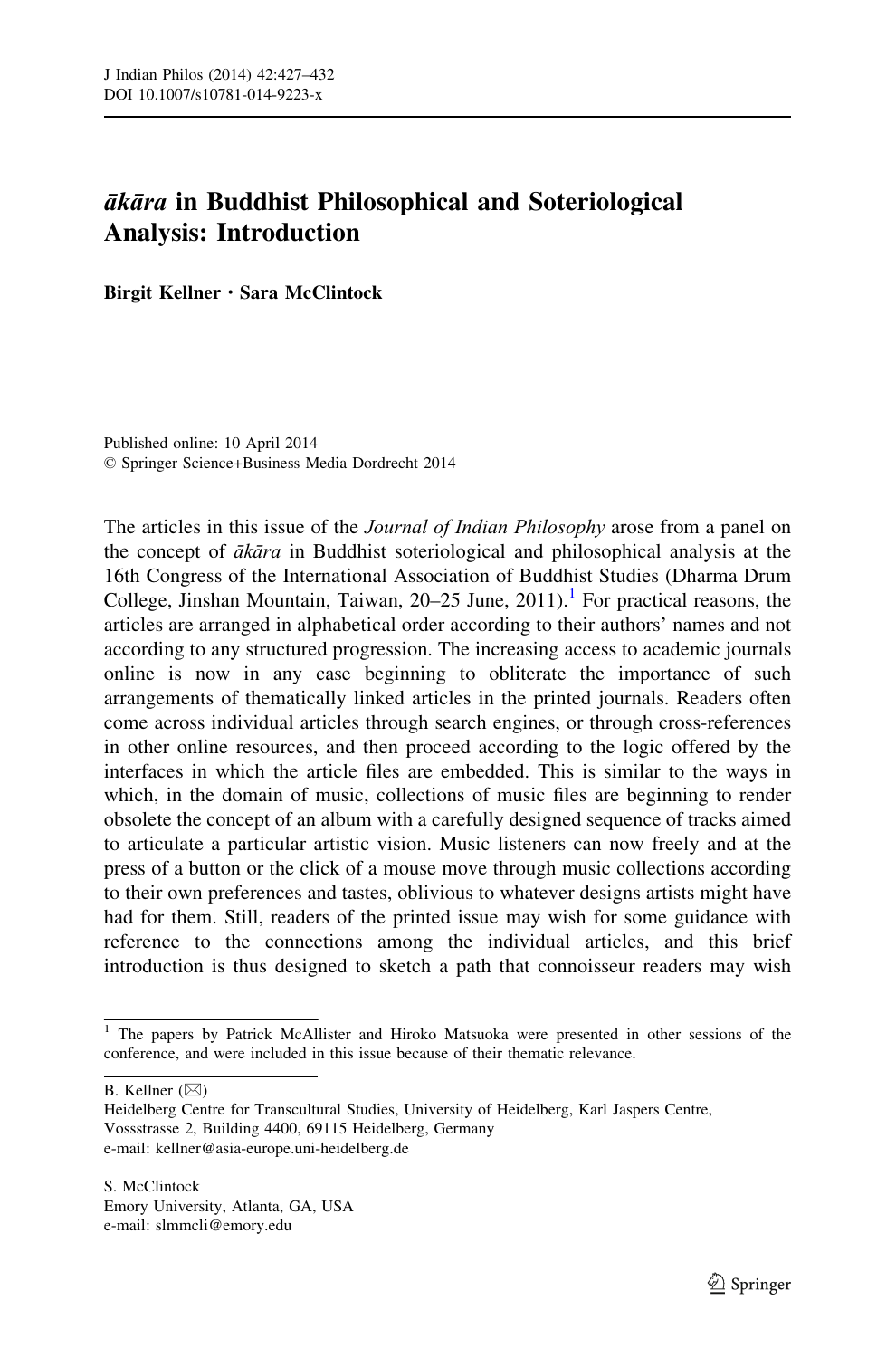## ākāra in Buddhist Philosophical and Soteriological Analysis: Introduction

Birgit Kellner · Sara McClintock

Published online: 10 April 2014 © Springer Science+Business Media Dordrecht 2014

The articles in this issue of the *Journal of Indian Philosophy* arose from a panel on the concept of  $\bar{a}k\bar{a}ra$  in Buddhist soteriological and philosophical analysis at the 16th Congress of the International Association of Buddhist Studies (Dharma Drum College, Jinshan Mountain, Taiwan,  $20-25$  June,  $2011$ ).<sup>1</sup> For practical reasons, the articles are arranged in alphabetical order according to their authors' names and not according to any structured progression. The increasing access to academic journals online is now in any case beginning to obliterate the importance of such arrangements of thematically linked articles in the printed journals. Readers often come across individual articles through search engines, or through cross-references in other online resources, and then proceed according to the logic offered by the interfaces in which the article files are embedded. This is similar to the ways in which, in the domain of music, collections of music files are beginning to render obsolete the concept of an album with a carefully designed sequence of tracks aimed to articulate a particular artistic vision. Music listeners can now freely and at the press of a button or the click of a mouse move through music collections according to their own preferences and tastes, oblivious to whatever designs artists might have had for them. Still, readers of the printed issue may wish for some guidance with reference to the connections among the individual articles, and this brief introduction is thus designed to sketch a path that connoisseur readers may wish

B. Kellner  $(\boxtimes)$ 

<sup>&</sup>lt;sup>1</sup> The papers by Patrick McAllister and Hiroko Matsuoka were presented in other sessions of the conference, and were included in this issue because of their thematic relevance.

Heidelberg Centre for Transcultural Studies, University of Heidelberg, Karl Jaspers Centre, Vossstrasse 2, Building 4400, 69115 Heidelberg, Germany e-mail: kellner@asia-europe.uni-heidelberg.de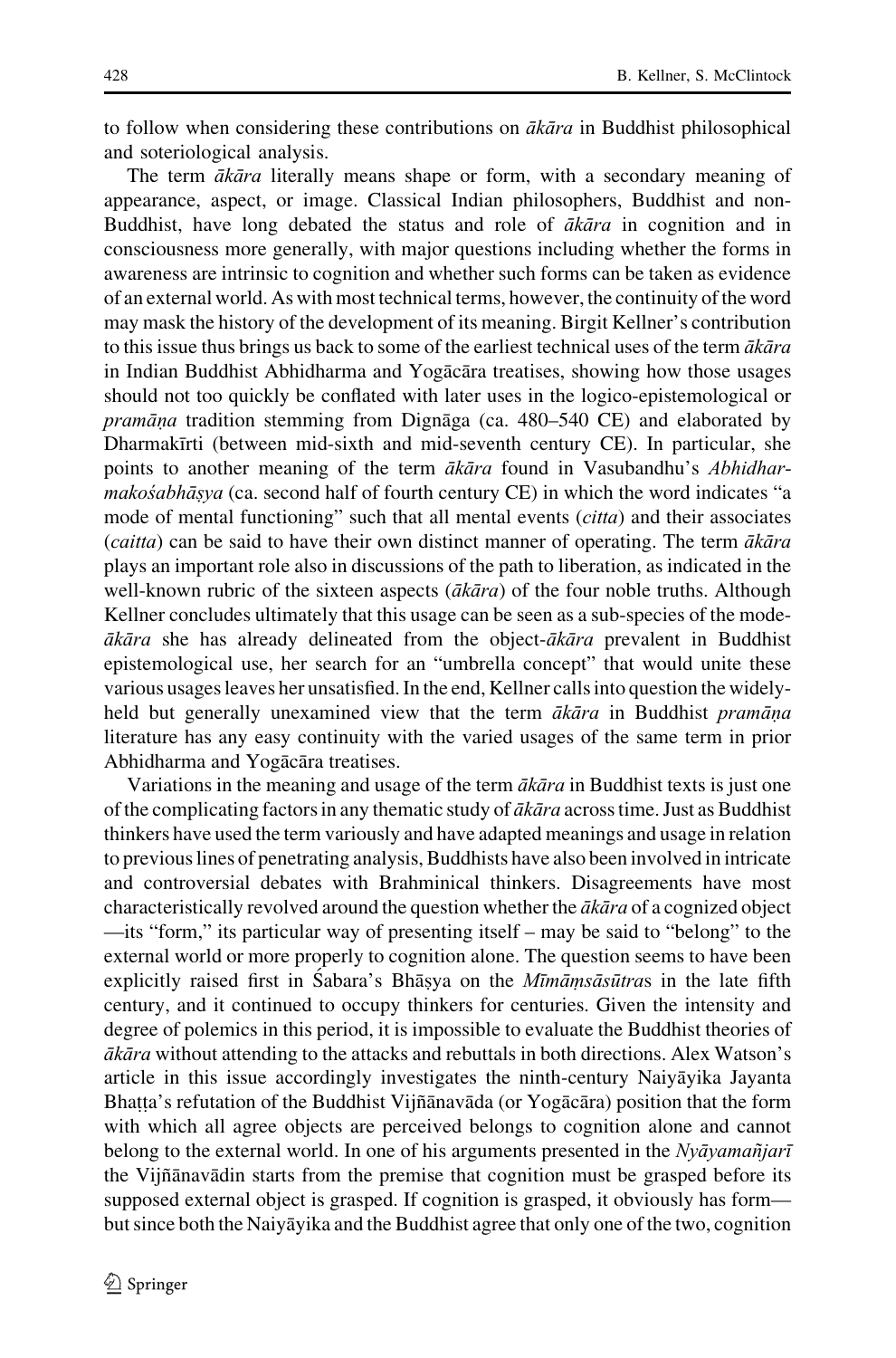to follow when considering these contributions on  $\bar{a}k\bar{a}ra$  in Buddhist philosophical and soteriological analysis.

The term  $\vec{a}$  ka $\vec{a}$  rate literally means shape or form, with a secondary meaning of appearance, aspect, or image. Classical Indian philosophers, Buddhist and non-Buddhist, have long debated the status and role of  $\bar{a}k\bar{a}ra$  in cognition and in consciousness more generally, with major questions including whether the forms in awareness are intrinsic to cognition and whether such forms can be taken as evidence of an external world. As with most technical terms, however, the continuity of the word may mask the history of the development of its meaning. Birgit Kellner's contribution to this issue thus brings us back to some of the earliest technical uses of the term  $\vec{a}k\vec{a}ra$ in Indian Buddhist Abhidharma and Yogācāra treatises, showing how those usages should not too quickly be conflated with later uses in the logico-epistemological or  $pramāna$  tradition stemming from Dignāga (ca. 480–540 CE) and elaborated by Dharmakīrti (between mid-sixth and mid-seventh century CE). In particular, she points to another meaning of the term  $\bar{a}k\bar{a}ra$  found in Vasubandhu's *Abhidhar*makośabhāṣya (ca. second half of fourth century CE) in which the word indicates "a mode of mental functioning" such that all mental events (*citta*) and their associates (*caitta*) can be said to have their own distinct manner of operating. The term  $\vec{a}k\vec{a}ra$ plays an important role also in discussions of the path to liberation, as indicated in the well-known rubric of the sixteen aspects ( $\overline{a}k\overline{a}ra$ ) of the four noble truths. Although Kellner concludes ultimately that this usage can be seen as a sub-species of the mode- $\bar{a}k\bar{a}ra$  she has already delineated from the object- $\bar{a}k\bar{a}ra$  prevalent in Buddhist epistemological use, her search for an "umbrella concept" that would unite these various usages leaves her unsatisfied. In the end, Kellner calls into question the widelyheld but generally unexamined view that the term  $\vec{a}k\vec{a}ra$  in Buddhist pramāņa literature has any easy continuity with the varied usages of the same term in prior Abhidharma and Yogācāra treatises.

Variations in the meaning and usage of the term  $\vec{a}k\vec{a}ra$  in Buddhist texts is just one of the complicating factors in any thematic study of  $\bar{a}k\bar{a}ra$  across time. Just as Buddhist thinkers have used the term variously and have adapted meanings and usage in relation to previous lines of penetrating analysis, Buddhists have also been involved in intricate and controversial debates with Brahminical thinkers. Disagreements have most characteristically revolved around the question whether the  $\bar{a}k\bar{a}ra$  of a cognized object —its "form," its particular way of presenting itself – may be said to "belong" to the external world or more properly to cognition alone. The question seems to have been explicitly raised first in Sabara's Bhāsya on the *Mīmamsãsūtras* in the late fifth entury, and it continued to occupy thinkers for centuries. Given the intensity and entury, and it continued to occupy thinkers for centuries. degree of polemics in this period, it is impossible to evaluate the Buddhist theories of *ākāra* without attending to the attacks and rebuttals in both directions. Alex Watson's article in this issue accordingly investigates the ninth-century Naiya jika Jayanta Bhatta's refutation of the Buddhist Vijñānavāda (or Yogācāra) position that the form<br>with which all agree objects are perceived belongs to cognition alone and cannot ˙ with which all agree objects are perceived belongs to cognition alone and cannot belong to the external world. In one of his arguments presented in the Nyāyamañjarī the Vijñānavādin starts from the premise that cognition must be grasped before its supposed external object is grasped. If cognition is grasped, it obviously has form but since both the Naiya zika and the Buddhist agree that only one of the two, cognition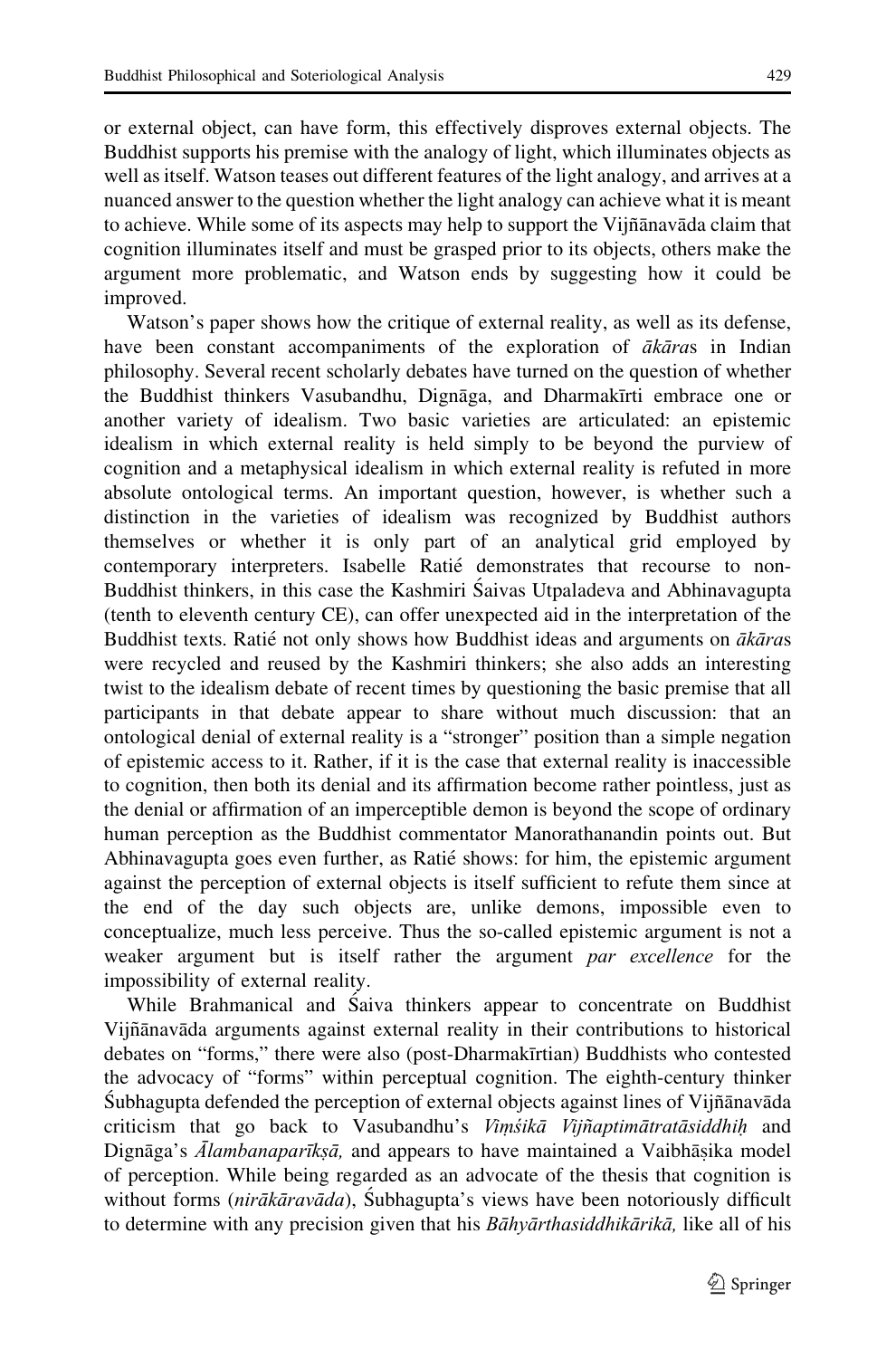or external object, can have form, this effectively disproves external objects. The Buddhist supports his premise with the analogy of light, which illuminates objects as well as itself. Watson teases out different features of the light analogy, and arrives at a nuanced answer to the question whether the light analogy can achieve what it is meant to achieve. While some of its aspects may help to support the Vijñānavāda claim that cognition illuminates itself and must be grasped prior to its objects, others make the argument more problematic, and Watson ends by suggesting how it could be improved.

Watson's paper shows how the critique of external reality, as well as its defense, have been constant accompaniments of the exploration of  $\vec{a}k\vec{a}ras$  in Indian philosophy. Several recent scholarly debates have turned on the question of whether the Buddhist thinkers Vasubandhu, Dignāga, and Dharmakīrti embrace one or another variety of idealism. Two basic varieties are articulated: an epistemic idealism in which external reality is held simply to be beyond the purview of cognition and a metaphysical idealism in which external reality is refuted in more absolute ontological terms. An important question, however, is whether such a distinction in the varieties of idealism was recognized by Buddhist authors themselves or whether it is only part of an analytical grid employed by contemporary interpreters. Isabelle Ratié demonstrates that recourse to non-Buddhist thinkers, in this case the Kashmiri Śaivas Utpaladeva and Abhinavagupta (tenth to eleventh century CE), can offer unexpected aid in the interpretation of the Buddhist texts. Ratié not only shows how Buddhist ideas and arguments on  $\vec{ak}\vec{a}$ ras were recycled and reused by the Kashmiri thinkers; she also adds an interesting twist to the idealism debate of recent times by questioning the basic premise that all participants in that debate appear to share without much discussion: that an ontological denial of external reality is a "stronger" position than a simple negation of epistemic access to it. Rather, if it is the case that external reality is inaccessible to cognition, then both its denial and its affirmation become rather pointless, just as the denial or affirmation of an imperceptible demon is beyond the scope of ordinary human perception as the Buddhist commentator Manorathanandin points out. But Abhinavagupta goes even further, as Ratié shows: for him, the epistemic argument against the perception of external objects is itself sufficient to refute them since at the end of the day such objects are, unlike demons, impossible even to conceptualize, much less perceive. Thus the so-called epistemic argument is not a weaker argument but is itself rather the argument par excellence for the impossibility of external reality.

While Brahmanical and Saiva thinkers appear to concentrate on Buddhist Vijñānavāda arguments against external reality in their contributions to historical debates on "forms," there were also (post-Dharmakīrtian) Buddhists who contested the advocacy of "forms" within perceptual cognition. The eighth-century thinker Subhagupta defended the perception of external objects against lines of Vijñānavāda criticism that go back to Vasubandhu's Vimśikā Vijñaptimātratāsiddhiḥ and Dignāga's Ālambanaparīkṣā, and appears to have maintained a Vaibhāṣika model ˙ of perception. While being regarded as an advocate of the thesis that cognition is without forms ( $nirākāravāda$ ), Subhagupta's views have been notoriously difficult to determine with any precision given that his *Bāhyārthasiddhikārikā*, like all of his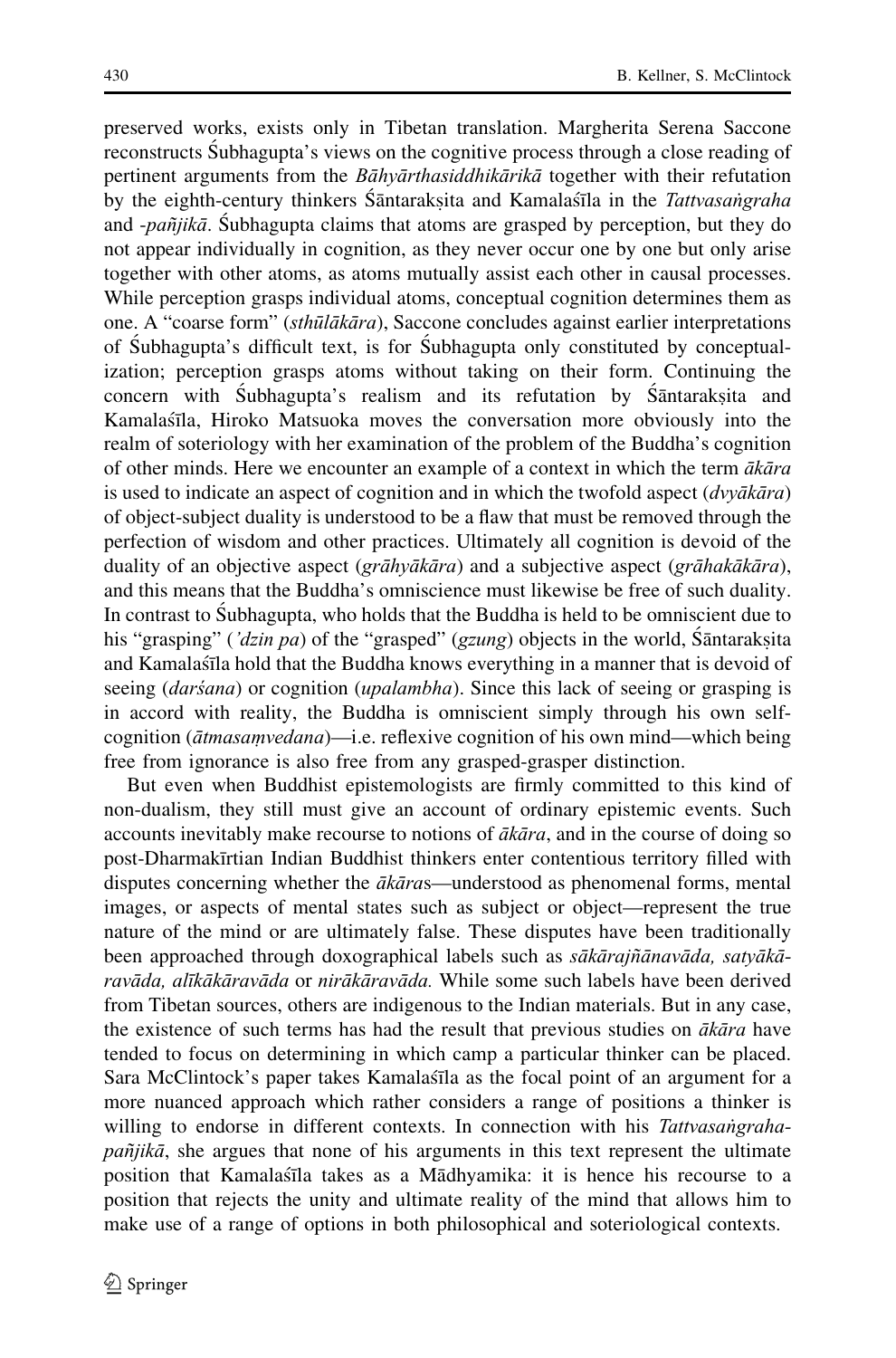preserved works, exists only in Tibetan translation. Margherita Serena Saccone reconstructs Subhagupta's views on the cognitive process through a close reading of pertinent arguments from the Bāhyārthasiddhikārikā together with their refutation by the eighth-century thinkers Śāntarakṣita and Kamalaśīla in the *Tattvasaṅgraha*<br>and *-paṣ̃iikā*, Śubhagunta claims that atoms are grasped by perception, but they do and  $-pa\tilde{n}jik\bar{a}$ . Subhagupta claims that atoms are grasped by perception, but they do not appear individually in cognition, as they never occur one by one but only arise together with other atoms, as atoms mutually assist each other in causal processes. While perception grasps individual atoms, conceptual cognition determines them as one. A "coarse form" (sthūlākāra), Saccone concludes against earlier interpretations of S´ubhagupta's difficult text, is for S´ubhagupta only constituted by conceptualization; perception grasps atoms without taking on their form. Continuing the concern with Subhagupta's realism and its refutation by Sāntaraksita and<br>Kamalasīla Hiroko Matsuoka moves the conversation more obviously into the Kamalastaa, Hiroko Matsuoka moves the conversation more obviously into the realm of soteriology with her examination of the problem of the Buddha's cognition of other minds. Here we encounter an example of a context in which the term  $\vec{a}k\vec{a}ra$ is used to indicate an aspect of cognition and in which the twofold aspect  $(dvyākāra)$ of object-subject duality is understood to be a flaw that must be removed through the perfection of wisdom and other practices. Ultimately all cognition is devoid of the duality of an objective aspect (grāhyākāra) and a subjective aspect (grāhakākāra), and this means that the Buddha's omniscience must likewise be free of such duality. In contrast to Subhagupta, who holds that the Buddha is held to be omniscient due to his "grasping" ('*dzin pa*) of the "grasped" (gzung) objects in the world, Śāntarakṣita<br>and Kamalaṣīla hold that the Buddha knows everything in a manner that is devoid of and Kamalaśīla hold that the Buddha knows everything in a manner that is devoid of seeing (darśana) or cognition (upalambha). Since this lack of seeing or grasping is in accord with reality, the Buddha is omniscient simply through his own selfcognition ( $\bar{a}$ tmasamvedana)—i.e. reflexive cognition of his own mind—which being free from ignorance is also free from any grasped-grasper distinction.

But even when Buddhist epistemologists are firmly committed to this kind of non-dualism, they still must give an account of ordinary epistemic events. Such accounts inevitably make recourse to notions of  $\bar{a}k\bar{a}ra$ , and in the course of doing so post-Dharmakīrtian Indian Buddhist thinkers enter contentious territory filled with disputes concerning whether the  $\bar{a}k\bar{a}ras$ —understood as phenomenal forms, mental images, or aspects of mental states such as subject or object—represent the true nature of the mind or are ultimately false. These disputes have been traditionally been approached through doxographical labels such as sākārajñānavāda, satyākāravāda, alīkākāravāda or nirākāravāda. While some such labels have been derived from Tibetan sources, others are indigenous to the Indian materials. But in any case, the existence of such terms has had the result that previous studies on  $\vec{a}k\vec{a}ra$  have tended to focus on determining in which camp a particular thinker can be placed. Sara McClintock's paper takes Kamalasta as the focal point of an argument for a more nuanced approach which rather considers a range of positions a thinker is willing to endorse in different contexts. In connection with his Tattvasangrahapañjikā, she argues that none of his arguments in this text represent the ultimate position that Kamalasta takes as a Madhyamika: it is hence his recourse to a position that rejects the unity and ultimate reality of the mind that allows him to make use of a range of options in both philosophical and soteriological contexts.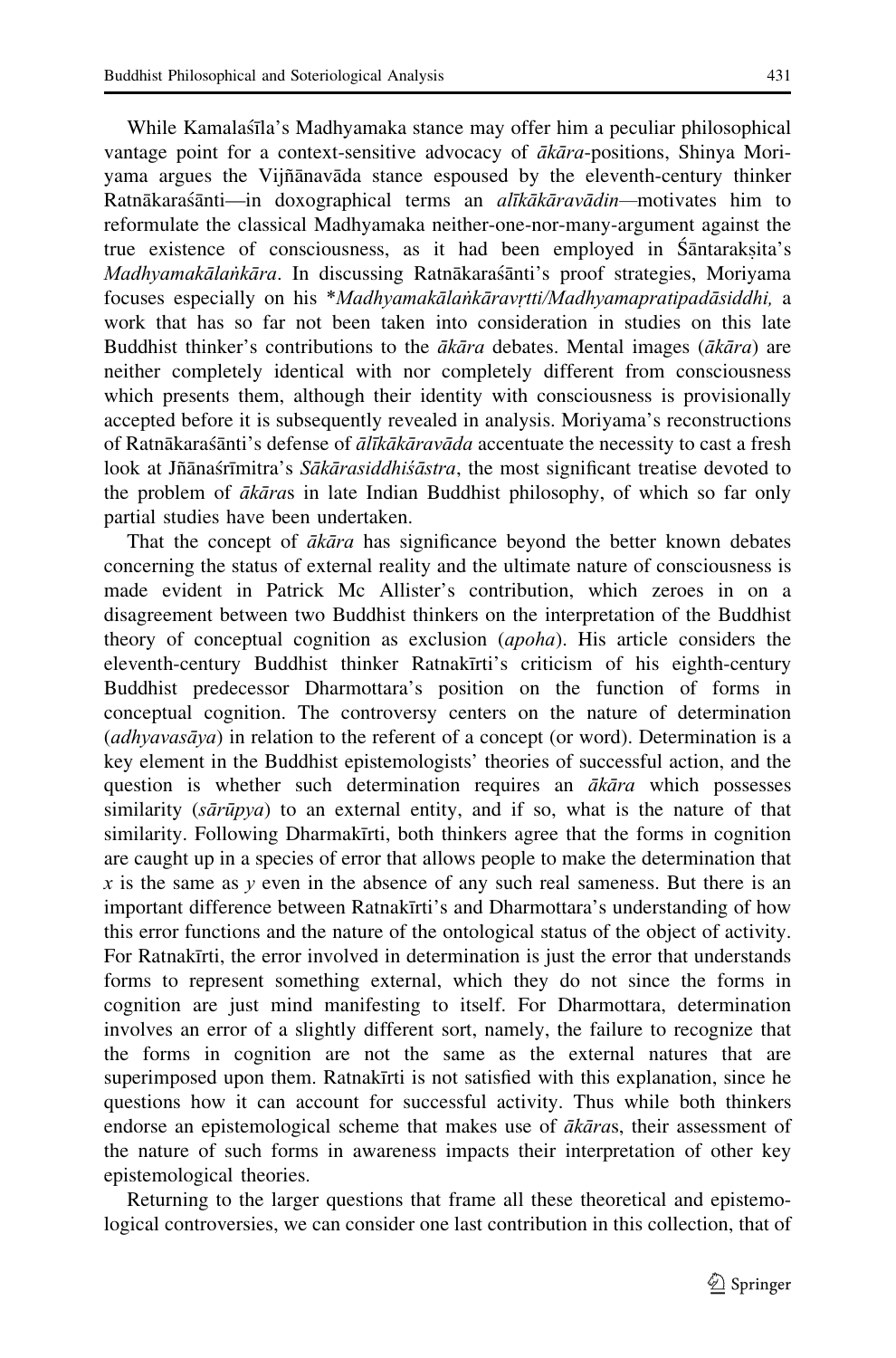While Kamalas´īla's Madhyamaka stance may offer him a peculiar philosophical vantage point for a context-sensitive advocacy of ākāra-positions, Shinya Moriyama argues the Vijñanavada stance espoused by the eleventh-century thinker Ratnākaras´ānti—in doxographical terms an *alīkākāravādin*—motivates him to reformulate the classical Madhyamaka neither-one-nor-many-argument against the true existence of consciousness, as it had been employed in Śāntaraksita's<br>Madhyamakālankāra. In discussing Ratnākaraśānti's proof strategies. Morivama Madhyamakālaṅkāra. In discussing Ratnākaraśānti's proof strategies, Moriyama focuses especially on his \**Madhyamakālaṅkāravrtti/Madhyamapratipadāsiddhi*, a work that has so far not been taken into consideration in studies on this late Buddhist thinker's contributions to the  $\bar{a}k\bar{a}ra$  debates. Mental images ( $\bar{a}k\bar{a}ra$ ) are neither completely identical with nor completely different from consciousness which presents them, although their identity with consciousness is provisionally accepted before it is subsequently revealed in analysis. Moriyama's reconstructions of Ratnākaras´ānti's defense of ālīkākāravāda accentuate the necessity to cast a fresh look at Jñānas´rīmitra's Sākārasiddhisāstra, the most significant treatise devoted to the problem of ākāras in late Indian Buddhist philosophy, of which so far only partial studies have been undertaken.

That the concept of  $\bar{a}k\bar{a}ra$  has significance beyond the better known debates concerning the status of external reality and the ultimate nature of consciousness is made evident in Patrick Mc Allister's contribution, which zeroes in on a disagreement between two Buddhist thinkers on the interpretation of the Buddhist theory of conceptual cognition as exclusion (apoha). His article considers the eleventh-century Buddhist thinker Ratnakinti's criticism of his eighth-century Buddhist predecessor Dharmottara's position on the function of forms in conceptual cognition. The controversy centers on the nature of determination  $(adhvava\bar{s}a\bar{v}a)$  in relation to the referent of a concept (or word). Determination is a key element in the Buddhist epistemologists' theories of successful action, and the question is whether such determination requires an  $ākāra$  which possesses similarity  $(s\bar{a}r\bar{u}pya)$  to an external entity, and if so, what is the nature of that similarity. Following Dharmakīrti, both thinkers agree that the forms in cognition are caught up in a species of error that allows people to make the determination that x is the same as y even in the absence of any such real sameness. But there is an important difference between Ratnakīrti's and Dharmottara's understanding of how this error functions and the nature of the ontological status of the object of activity. For Ratnakīrti, the error involved in determination is just the error that understands forms to represent something external, which they do not since the forms in cognition are just mind manifesting to itself. For Dharmottara, determination involves an error of a slightly different sort, namely, the failure to recognize that the forms in cognition are not the same as the external natures that are superimposed upon them. Ratnakinti is not satisfied with this explanation, since he questions how it can account for successful activity. Thus while both thinkers endorse an epistemological scheme that makes use of  $\bar{a}k\bar{a}ras$ , their assessment of the nature of such forms in awareness impacts their interpretation of other key epistemological theories.

Returning to the larger questions that frame all these theoretical and epistemological controversies, we can consider one last contribution in this collection, that of